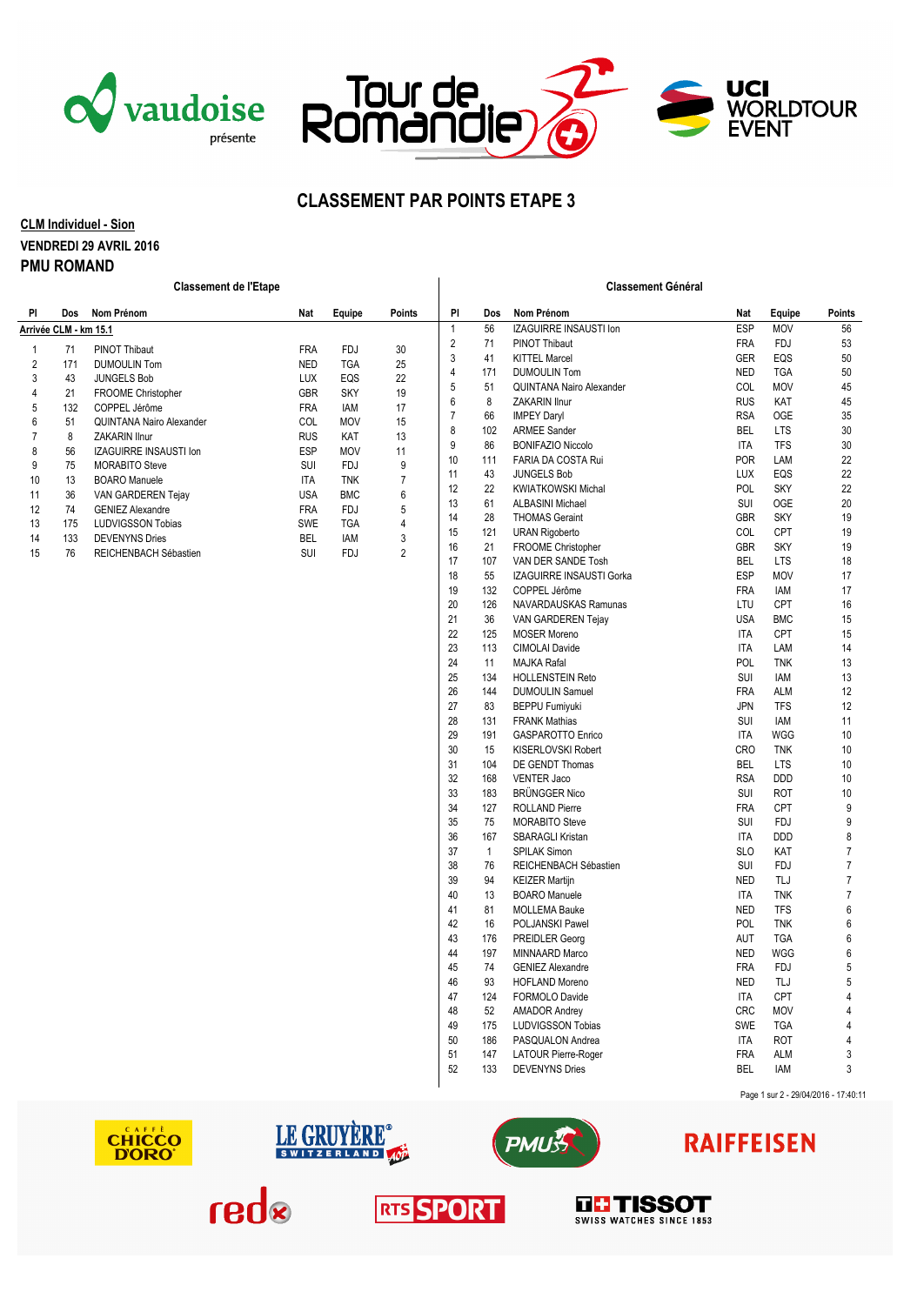





### **CLASSEMENT PAR POINTS ETAPE 3**

#### **CLM Individuel - Sion VENDREDI 29 AVRIL 2016 PMU ROMAND**

| <b>Classement de l'Etape</b> |     |                          |            |            |                | <b>Classement Général</b> |                        |                                           |                          |                   |                |  |
|------------------------------|-----|--------------------------|------------|------------|----------------|---------------------------|------------------------|-------------------------------------------|--------------------------|-------------------|----------------|--|
| PI                           | Dos | Nom Prénom               | Nat        | Equipe     | <b>Points</b>  | PI                        | Dos                    | Nom Prénom                                | Nat                      | Equipe            | Points         |  |
| Arrivée CLM - km 15.1        |     |                          |            |            | $\mathbf{1}$   | 56                        | IZAGUIRRE INSAUSTI Ion | ESP                                       | <b>MOV</b>               | 56                |                |  |
| 1                            | 71  | PINOT Thibaut            | <b>FRA</b> | <b>FDJ</b> | 30             | $\overline{2}$            | 71                     | PINOT Thibaut                             | <b>FRA</b>               | <b>FDJ</b>        | 53             |  |
| 2                            | 171 | <b>DUMOULIN Tom</b>      | <b>NED</b> | <b>TGA</b> | 25             | $\mathbf{3}$              | 41                     | <b>KITTEL Marcel</b>                      | GER                      | EQS               | 50             |  |
| 3                            | 43  | <b>JUNGELS Bob</b>       | <b>LUX</b> | EQS        | 22             | $\overline{4}$            | 171                    | <b>DUMOULIN Tom</b>                       | <b>NED</b>               | <b>TGA</b>        | 50             |  |
| 4                            | 21  | FROOME Christopher       | GBR        | <b>SKY</b> | 19             | $\sqrt{5}$                | 51                     | <b>QUINTANA Nairo Alexander</b>           | COL                      | <b>MOV</b>        | 45             |  |
| 5                            | 132 | COPPEL Jérôme            | <b>FRA</b> | IAM        | 17             | $\,6\,$                   | 8                      | ZAKARIN Ilnur                             | <b>RUS</b>               | KAT               | 45             |  |
| 6                            | 51  | QUINTANA Nairo Alexander | COL        | <b>MOV</b> | 15             | $\overline{7}$            | 66                     | <b>IMPEY Daryl</b>                        | <b>RSA</b>               | OGE               | 35             |  |
| 7                            | 8   | <b>ZAKARIN Ilnur</b>     | <b>RUS</b> | KAT        | 13             | 8                         | 102                    | <b>ARMEE Sander</b>                       | <b>BEL</b>               | <b>LTS</b>        | 30             |  |
| 8                            | 56  | IZAGUIRRE INSAUSTI Ion   | <b>ESP</b> | <b>MOV</b> | 11             | $9\,$                     | 86                     | <b>BONIFAZIO Niccolo</b>                  | <b>ITA</b>               | <b>TFS</b>        | 30             |  |
| 9                            | 75  | <b>MORABITO Steve</b>    | SUI        | <b>FDJ</b> | 9              | 10                        | 111                    | FARIA DA COSTA Rui                        | POR                      | LAM               | 22             |  |
| 10                           | 13  | <b>BOARO</b> Manuele     | <b>ITA</b> | <b>TNK</b> | $\overline{7}$ | 11                        | 43                     | <b>JUNGELS Bob</b>                        | LUX                      | EQS               | 22             |  |
| 11                           | 36  | VAN GARDEREN Tejay       | <b>USA</b> | <b>BMC</b> | 6              | 12                        | 22                     | <b>KWIATKOWSKI Michal</b>                 | POL                      | <b>SKY</b>        | 22             |  |
| 12                           | 74  | <b>GENIEZ Alexandre</b>  | <b>FRA</b> | <b>FDJ</b> | 5              | 13                        | 61                     | <b>ALBASINI Michael</b>                   | SUI                      | <b>OGE</b>        | 20             |  |
| 13                           | 175 | <b>LUDVIGSSON Tobias</b> | <b>SWE</b> | <b>TGA</b> | 4              | 14                        | 28                     | <b>THOMAS Geraint</b>                     | GBR                      | <b>SKY</b>        | 19             |  |
| 14                           | 133 | <b>DEVENYNS Dries</b>    | <b>BEL</b> | IAM        | 3              | 15                        | 121                    | <b>URAN Rigoberto</b>                     | COL                      | CPT               | 19             |  |
| 15                           | 76  | REICHENBACH Sébastien    | SUI        | <b>FDJ</b> | $\overline{2}$ | 16                        | 21                     | FROOME Christopher                        | <b>GBR</b>               | <b>SKY</b>        | 19             |  |
|                              |     |                          |            |            |                | 17                        | 107                    | VAN DER SANDE Tosh                        | <b>BEL</b>               | <b>LTS</b>        | 18             |  |
|                              |     |                          |            |            |                | 18<br>19                  | 55<br>132              | IZAGUIRRE INSAUSTI Gorka<br>COPPEL Jérôme | <b>ESP</b><br><b>FRA</b> | <b>MOV</b><br>IAM | 17<br>17       |  |
|                              |     |                          |            |            |                | 20                        | 126                    | NAVARDAUSKAS Ramunas                      | LTU                      | CPT               | 16             |  |
|                              |     |                          |            |            |                | 21                        | 36                     | VAN GARDEREN Tejay                        | <b>USA</b>               | <b>BMC</b>        | 15             |  |
|                              |     |                          |            |            |                | 22                        | 125                    | <b>MOSER Moreno</b>                       | <b>ITA</b>               | CPT               | 15             |  |
|                              |     |                          |            |            |                | 23                        | 113                    | <b>CIMOLAI Davide</b>                     | <b>ITA</b>               | LAM               | 14             |  |
|                              |     |                          |            |            |                | 24                        | 11                     | <b>MAJKA Rafal</b>                        | POL                      | <b>TNK</b>        | 13             |  |
|                              |     |                          |            |            |                | 25                        | 134                    | <b>HOLLENSTEIN Reto</b>                   | SUI                      | IAM               | 13             |  |
|                              |     |                          |            |            |                | 26                        | 144                    | <b>DUMOULIN Samuel</b>                    | <b>FRA</b>               | <b>ALM</b>        | 12             |  |
|                              |     |                          |            |            |                | 27                        | 83                     | <b>BEPPU Fumiyuki</b>                     | <b>JPN</b>               | <b>TFS</b>        | 12             |  |
|                              |     |                          |            |            |                | 28                        | 131                    | <b>FRANK Mathias</b>                      | SUI                      | IAM               | 11             |  |
|                              |     |                          |            |            |                | 29                        | 191                    | <b>GASPAROTTO Enrico</b>                  | <b>ITA</b>               | <b>WGG</b>        | 10             |  |
|                              |     |                          |            |            |                | 30                        | 15                     | KISERLOVSKI Robert                        | <b>CRO</b>               | <b>TNK</b>        | 10             |  |
|                              |     |                          |            |            |                | 31                        | 104                    | <b>DE GENDT Thomas</b>                    | <b>BEL</b>               | LTS               | 10             |  |
|                              |     |                          |            |            |                | 32                        | 168                    | <b>VENTER Jaco</b>                        | <b>RSA</b>               | <b>DDD</b>        | 10             |  |
|                              |     |                          |            |            |                | 33                        | 183                    | <b>BRÜNGGER Nico</b>                      | SUI                      | <b>ROT</b>        | 10             |  |
|                              |     |                          |            |            |                | 34                        | 127                    | <b>ROLLAND Pierre</b>                     | <b>FRA</b>               | CPT               | 9              |  |
|                              |     |                          |            |            |                | 35                        | 75                     | <b>MORABITO Steve</b>                     | SUI                      | <b>FDJ</b>        | 9              |  |
|                              |     |                          |            |            |                | 36                        | 167                    | SBARAGLI Kristan                          | <b>ITA</b>               | <b>DDD</b>        | 8              |  |
|                              |     |                          |            |            |                | 37                        | $\overline{1}$         | <b>SPILAK Simon</b>                       | <b>SLO</b>               | KAT               | $\overline{7}$ |  |
|                              |     |                          |            |            |                | 38                        | 76                     | REICHENBACH Sébastien                     | SUI                      | <b>FDJ</b>        | $\overline{7}$ |  |
|                              |     |                          |            |            |                | 39                        | 94                     | <b>KEIZER Martijn</b>                     | <b>NED</b>               | TLJ               | $\overline{7}$ |  |
|                              |     |                          |            |            |                | 40                        | 13                     | <b>BOARO</b> Manuele                      | <b>ITA</b>               | <b>TNK</b>        | $\overline{7}$ |  |
|                              |     |                          |            |            |                | 41                        | 81                     | <b>MOLLEMA Bauke</b>                      | <b>NED</b>               | <b>TFS</b>        | 6              |  |
|                              |     |                          |            |            |                | 42                        | 16                     | POLJANSKI Pawel                           | POL                      | <b>TNK</b>        | 6              |  |
|                              |     |                          |            |            |                | 43                        | 176                    | PREIDLER Georg                            | AUT                      | <b>TGA</b>        | $6\phantom{a}$ |  |
|                              |     |                          |            |            |                | 44                        | 197                    | MINNAARD Marco                            | <b>NED</b>               | <b>WGG</b>        | 6              |  |
|                              |     |                          |            |            |                | 45                        | 74                     | <b>GENIEZ Alexandre</b>                   | <b>FRA</b>               | <b>FDJ</b>        | 5              |  |
|                              |     |                          |            |            |                | 46                        | 93                     | <b>HOFLAND Moreno</b>                     | <b>NED</b>               | TLJ               | 5              |  |
|                              |     |                          |            |            |                | 47                        | 124                    | FORMOLO Davide                            | <b>ITA</b>               | <b>CPT</b>        | $\overline{4}$ |  |
|                              |     |                          |            |            |                | 48                        | 52                     | AMADOR Andrey                             | <b>CRC</b>               | <b>MOV</b>        | $\overline{4}$ |  |
|                              |     |                          |            |            |                | 49                        | 175                    | <b>LUDVIGSSON Tobias</b>                  | SWE                      | <b>TGA</b>        | $\overline{4}$ |  |
|                              |     |                          |            |            |                | 50                        | 186                    | PASQUALON Andrea                          | <b>ITA</b>               | <b>ROT</b>        | $\overline{4}$ |  |
|                              |     |                          |            |            |                | 51                        | 147                    | LATOUR Pierre-Roger                       | <b>FRA</b>               | <b>ALM</b>        | $\mathbf{3}$   |  |
|                              |     |                          |            |            |                | 52                        | 133                    | <b>DEVENYNS Dries</b>                     | <b>BEL</b>               | IAM               | 3              |  |
|                              |     |                          |            |            |                |                           |                        |                                           |                          |                   |                |  |









# **RAIFFEISEN**